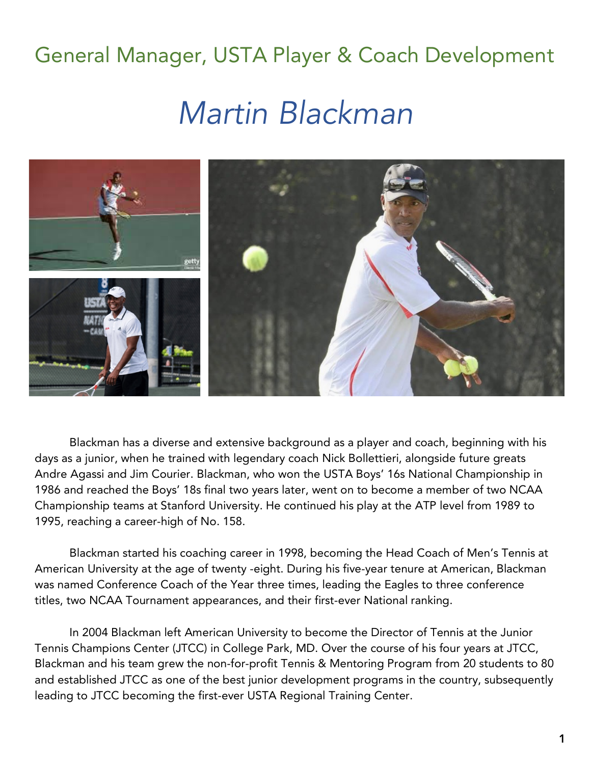## General Manager, USTA Player & Coach Development

## *Martin Blackman*



Blackman has a diverse and extensive background as a player and coach, beginning with his days as a junior, when he trained with legendary coach Nick Bollettieri, alongside future greats Andre Agassi and Jim Courier. Blackman, who won the USTA Boys' 16s National Championship in 1986 and reached the Boys' 18s final two years later, went on to become a member of two NCAA Championship teams at Stanford University. He continued his play at the ATP level from 1989 to 1995, reaching a career-high of No. 158.

Blackman started his coaching career in 1998, becoming the Head Coach of Men's Tennis at American University at the age of twenty -eight. During his five-year tenure at American, Blackman was named Conference Coach of the Year three times, leading the Eagles to three conference titles, two NCAA Tournament appearances, and their first-ever National ranking.

In 2004 Blackman left American University to become the Director of Tennis at the Junior Tennis Champions Center (JTCC) in College Park, MD. Over the course of his four years at JTCC, Blackman and his team grew the non-for-profit Tennis & Mentoring Program from 20 students to 80 and established JTCC as one of the best junior development programs in the country, subsequently leading to JTCC becoming the first-ever USTA Regional Training Center.